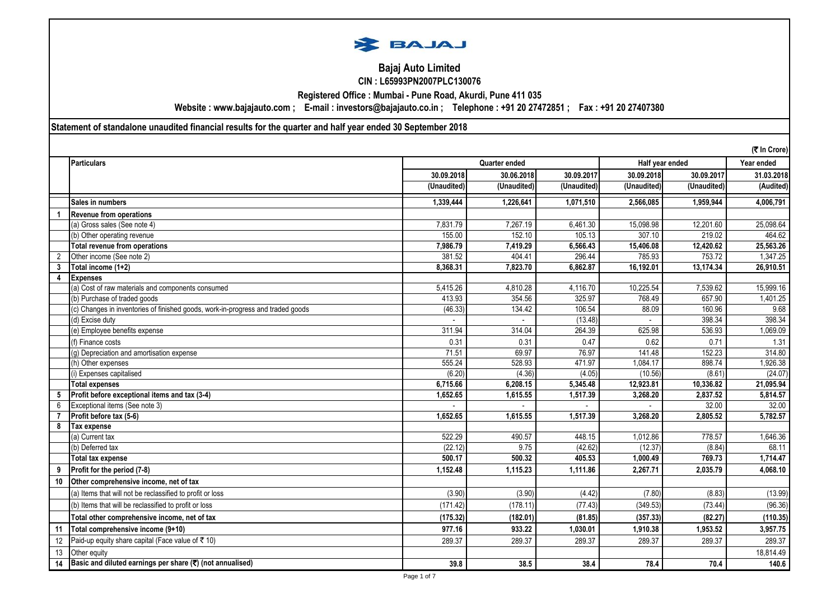

# **Bajaj Auto Limited CIN : L65993PN2007PLC130076**

**Registered Office : Mumbai - Pune Road, Akurdi, Pune 411 035**

**Website : www.bajajauto.com ; E-mail : investors@bajajauto.co.in ; Telephone : +91 20 27472851 ; Fax : +91 20 27407380**

**Statement of standalone unaudited financial results for the quarter and half year ended 30 September 2018**

|                | (₹ In Crore)                                                                    |             |               |             |             |                 |            |  |
|----------------|---------------------------------------------------------------------------------|-------------|---------------|-------------|-------------|-----------------|------------|--|
|                | <b>Particulars</b>                                                              |             | Quarter ended |             |             | Half year ended | Year ended |  |
|                |                                                                                 | 30.09.2018  | 30.06.2018    | 30.09.2017  | 30.09.2018  | 30.09.2017      | 31.03.2018 |  |
|                |                                                                                 | (Unaudited) | (Unaudited)   | (Unaudited) | (Unaudited) | (Unaudited)     | (Audited)  |  |
|                | Sales in numbers                                                                | 1,339,444   | 1,226,641     | 1,071,510   | 2,566,085   | 1,959,944       | 4,006,791  |  |
|                | <b>Revenue from operations</b>                                                  |             |               |             |             |                 |            |  |
|                | (a) Gross sales (See note 4)                                                    | 7.831.79    | 7,267.19      | 6,461.30    | 15,098.98   | 12,201.60       | 25,098.64  |  |
|                | (b) Other operating revenue                                                     | 155.00      | 152.10        | 105.13      | 307.10      | 219.02          | 464.62     |  |
|                | <b>Total revenue from operations</b>                                            | 7,986.79    | 7,419.29      | 6,566.43    | 15,406.08   | 12,420.62       | 25,563.26  |  |
| $\overline{2}$ | Other income (See note 2)                                                       | 381.52      | 404.41        | 296.44      | 785.93      | 753.72          | 1,347.25   |  |
| 3              | Total income (1+2)                                                              | 8,368.31    | 7,823.70      | 6,862.87    | 16,192.01   | 13,174.34       | 26,910.51  |  |
| 4              | <b>Expenses</b>                                                                 |             |               |             |             |                 |            |  |
|                | (a) Cost of raw materials and components consumed                               | 5.415.26    | 4,810.28      | 4.116.70    | 10,225.54   | 7,539.62        | 15,999.16  |  |
|                | (b) Purchase of traded goods                                                    | 413.93      | 354.56        | 325.97      | 768.49      | 657.90          | 1,401.25   |  |
|                | (c) Changes in inventories of finished goods, work-in-progress and traded goods | (46.33)     | 134.42        | 106.54      | 88.09       | 160.96          | 9.68       |  |
|                | (d) Excise duty                                                                 |             |               | (13.48)     |             | 398.34          | 398.34     |  |
|                | (e) Employee benefits expense                                                   | 311.94      | 314.04        | 264.39      | 625.98      | 536.93          | 1,069.09   |  |
|                | (f) Finance costs                                                               | 0.31        | 0.31          | 0.47        | 0.62        | 0.71            | 1.31       |  |
|                | (q) Depreciation and amortisation expense                                       | 71.51       | 69.97         | 76.97       | 141.48      | 152.23          | 314.80     |  |
|                | (h) Other expenses                                                              | 555.24      | 528.93        | 471.97      | 1,084.17    | 898.74          | 1,926.38   |  |
|                | (i) Expenses capitalised                                                        | (6.20)      | (4.36)        | (4.05)      | (10.56)     | (8.61)          | (24.07)    |  |
|                | <b>Total expenses</b>                                                           | 6,715.66    | 6,208.15      | 5,345.48    | 12,923.81   | 10,336.82       | 21,095.94  |  |
| 5              | Profit before exceptional items and tax (3-4)                                   | 1,652.65    | 1,615.55      | 1,517.39    | 3,268.20    | 2,837.52        | 5,814.57   |  |
| 6              | Exceptional items (See note 3)                                                  |             |               |             |             | 32.00           | 32.00      |  |
|                | Profit before tax (5-6)                                                         | 1,652.65    | 1,615.55      | 1.517.39    | 3,268.20    | 2,805.52        | 5,782.57   |  |
| 8              | Tax expense                                                                     |             |               |             |             |                 |            |  |
|                | (a) Current tax                                                                 | 522.29      | 490.57        | 448.15      | 1,012.86    | 778.57          | 1,646.36   |  |
|                | (b) Deferred tax                                                                | (22.12)     | 9.75          | (42.62)     | (12.37)     | (8.84)          | 68.11      |  |
|                | <b>Total tax expense</b>                                                        | 500.17      | 500.32        | 405.53      | 1,000.49    | 769.73          | 1,714.47   |  |
| 9              | Profit for the period (7-8)                                                     | 1,152.48    | 1,115.23      | 1,111.86    | 2,267.71    | 2,035.79        | 4,068.10   |  |
| 10             | Other comprehensive income, net of tax                                          |             |               |             |             |                 |            |  |
|                | (a) Items that will not be reclassified to profit or loss                       | (3.90)      | (3.90)        | (4.42)      | (7.80)      | (8.83)          | (13.99)    |  |
|                | (b) Items that will be reclassified to profit or loss                           | (171.42)    | (178.11)      | (77.43)     | (349.53)    | (73.44)         | (96.36)    |  |
|                | Total other comprehensive income, net of tax                                    | (175.32)    | (182.01)      | (81.85)     | (357.33)    | (82.27)         | (110.35)   |  |
| 11             | Total comprehensive income (9+10)                                               | 977.16      | 933.22        | 1,030.01    | 1,910.38    | 1,953.52        | 3,957.75   |  |
| 12             | Paid-up equity share capital (Face value of ₹ 10)                               | 289.37      | 289.37        | 289.37      | 289.37      | 289.37          | 289.37     |  |
| 13             | Other equity                                                                    |             |               |             |             |                 | 18,814.49  |  |
| 14             | Basic and diluted earnings per share (₹) (not annualised)                       | 39.8        | 38.5          | 38.4        | 78.4        | 70.4            | 140.6      |  |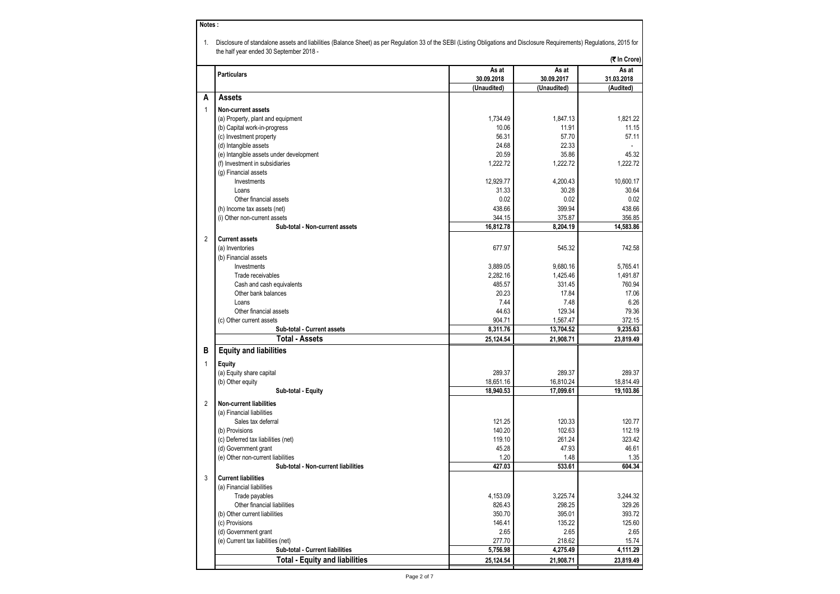|                                         |             |             | (₹ In Crore) |
|-----------------------------------------|-------------|-------------|--------------|
| <b>Particulars</b>                      | As at       | As at       | As at        |
|                                         | 30.09.2018  | 30.09.2017  | 31.03.2018   |
|                                         | (Unaudited) | (Unaudited) | (Audited)    |
| Α<br><b>Assets</b>                      |             |             |              |
| 1<br><b>Non-current assets</b>          |             |             |              |
| (a) Property, plant and equipment       | 1,734.49    | 1,847.13    | 1,821.22     |
| (b) Capital work-in-progress            | 10.06       | 11.91       | 11.15        |
| (c) Investment property                 | 56.31       | 57.70       | 57.11        |
| (d) Intangible assets                   | 24.68       | 22.33       |              |
| (e) Intangible assets under development | 20.59       | 35.86       | 45.32        |
| (f) Investment in subsidiaries          | 1,222.72    | 1.222.72    | 1,222.72     |
| (g) Financial assets                    |             |             |              |
| Investments                             | 12,929.77   | 4,200.43    | 10,600.17    |
| Loans                                   | 31.33       | 30.28       | 30.64        |
| Other financial assets                  | 0.02        | 0.02        | 0.02         |
| (h) Income tax assets (net)             | 438.66      | 399.94      | 438.66       |
| (i) Other non-current assets            | 344.15      | 375.87      | 356.85       |
| Sub-total - Non-current assets          | 16,812.78   | 8,204.19    | 14,583.86    |
| <b>Current assets</b><br>2              |             |             |              |
| (a) Inventories                         | 677.97      | 545.32      | 742.58       |
| (b) Financial assets                    |             |             |              |
| Investments                             | 3,889.05    | 9,680.16    | 5,765.41     |
| Trade receivables                       | 2,282.16    | 1,425.46    | 1,491.87     |
| Cash and cash equivalents               | 485.57      | 331.45      | 760.94       |
| Other bank balances                     | 20.23       | 17.84       | 17.06        |
| Loans                                   | 7.44        | 7.48        | 6.26         |
| Other financial assets                  | 44.63       | 129.34      | 79.36        |
| (c) Other current assets                | 904.71      | 1,567.47    | 372.15       |
| Sub-total - Current assets              | 8,311.76    | 13,704.52   | 9,235.63     |
| <b>Total - Assets</b>                   | 25,124.54   | 21,908.71   | 23,819.49    |
| <b>Equity and liabilities</b><br>в      |             |             |              |
|                                         |             |             |              |
| 1<br><b>Equity</b>                      |             |             |              |
| (a) Equity share capital                | 289.37      | 289.37      | 289.37       |
| (b) Other equity                        | 18,651.16   | 16,810.24   | 18,814.49    |
| Sub-total - Equity                      | 18,940.53   | 17,099.61   | 19,103.86    |
| 2<br><b>Non-current liabilities</b>     |             |             |              |
| (a) Financial liabilities               |             |             |              |
| Sales tax deferral                      | 121.25      | 120.33      | 120.77       |
| (b) Provisions                          | 140.20      | 102.63      | 112.19       |
| (c) Deferred tax liabilities (net)      | 119.10      | 261.24      | 323.42       |
| (d) Government grant                    | 45.28       | 47.93       | 46.61        |
| (e) Other non-current liabilities       | 1.20        | 1.48        | 1.35         |
| Sub-total - Non-current liabilities     | 427.03      | 533.61      | 604.34       |
|                                         |             |             |              |
| 3<br><b>Current liabilities</b>         |             |             |              |
| (a) Financial liabilities               |             |             |              |
| Trade payables                          | 4,153.09    | 3,225.74    | 3.244.32     |
| Other financial liabilities             | 826.43      | 298.25      | 329.26       |
| (b) Other current liabilities           | 350.70      | 395.01      | 393.72       |
| (c) Provisions                          | 146.41      | 135.22      | 125.60       |
| (d) Government grant                    | 2.65        | 2.65        | 2.65         |
| (e) Current tax liabilities (net)       | 277.70      | 218.62      | 15.74        |
| Sub-total - Current liabilities         | 5,756.98    | 4,275.49    | 4,111.29     |
| <b>Total - Equity and liabilities</b>   | 25,124.54   | 21,908.71   | 23,819.49    |

**Notes :**

Page 2 of 7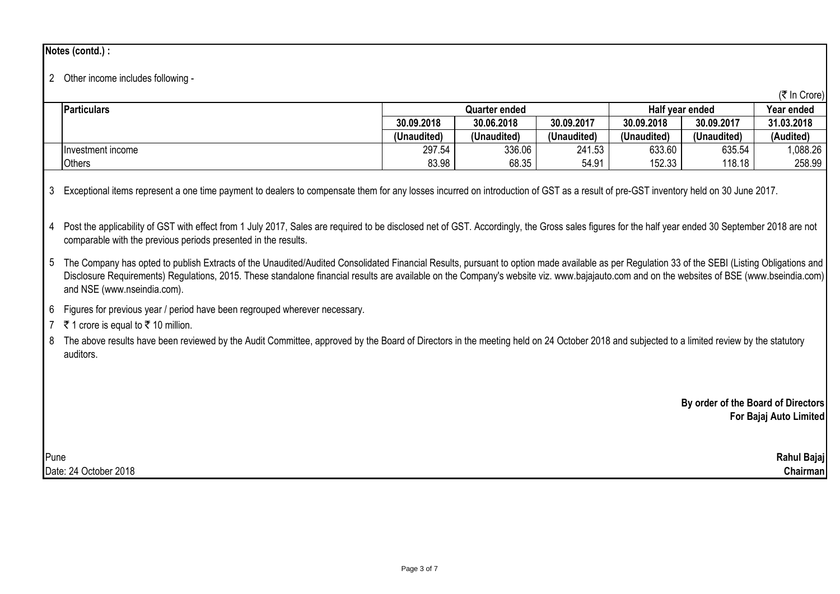# **Notes (contd.) :**

## 2 Other income includes following -

|                    |             |               |             |                 |             | (₹ In Crore) |
|--------------------|-------------|---------------|-------------|-----------------|-------------|--------------|
| <b>Particulars</b> |             | Quarter ended |             | Half vear ended | Year ended  |              |
|                    | 30.09.2018  | 30.06.2018    | 30.09.2017  | 30.09.2018      | 30.09.2017  | 31.03.2018   |
|                    | (Unaudited) | (Unaudited)   | (Unaudited) | (Unaudited)     | (Unaudited) | (Audited)    |
| Hnvestment income  | 297.54      | 336.06        | 241.53      | 633.60          | 635.54      | ,088.26      |
| <b>Others</b>      | 83.98       | 68.35         | 54.91       | 152.33          | 118.18      | 258.99       |

3 Exceptional items represent a one time payment to dealers to compensate them for any losses incurred on introduction of GST as a result of pre-GST inventory held on 30 June 2017.

4 Post the applicability of GST with effect from 1 July 2017, Sales are required to be disclosed net of GST. Accordingly, the Gross sales figures for the half year ended 30 September 2018 are not comparable with the previous periods presented in the results.

5 The Company has opted to publish Extracts of the Unaudited/Audited Consolidated Financial Results, pursuant to option made available as per Regulation 33 of the SEBI (Listing Obligations and Disclosure Requirements) Requiations, 2015. These standalone financial results are available on the Company's website viz. www.bajajauto.com and on the websites of BSE (www.bseindia.com) and NSE (www.nseindia.com).

- 6 Figures for previous year / period have been regrouped wherever necessary.
- 7 ₹ 1 crore is equal to ₹ 10 million.

8 The above results have been reviewed by the Audit Committee, approved by the Board of Directors in the meeting held on 24 October 2018 and subjected to a limited review by the statutory auditors.

> **By order of the Board of Directors For Bajaj Auto Limited**

Pune **Rahul Bajaj** Date: 24 October 2018 **Chairman**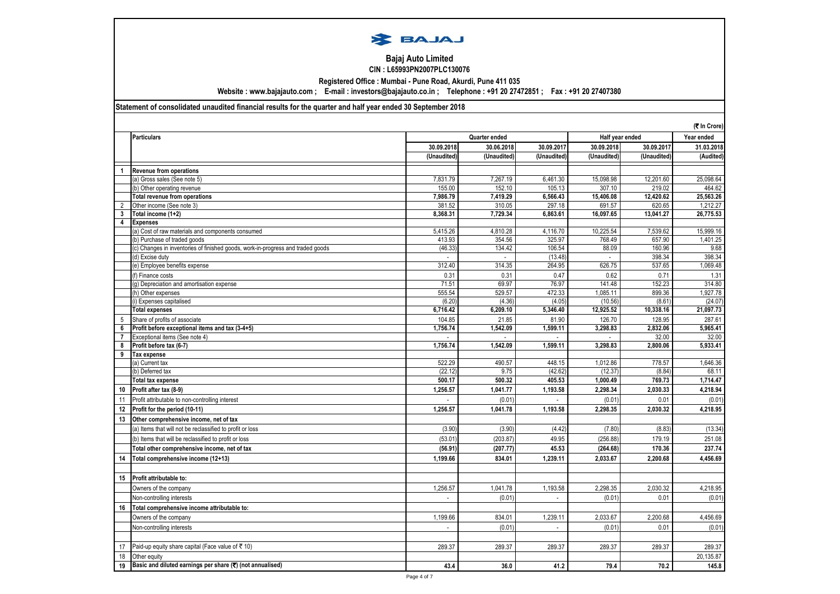

### **Bajaj Auto Limited CIN : L65993PN2007PLC130076**

**Registered Office : Mumbai - Pune Road, Akurdi, Pune 411 035**

**Website : www.bajajauto.com ; E-mail : investors@bajajauto.co.in ; Telephone : +91 20 27472851 ; Fax : +91 20 27407380**

#### **Statement of consolidated unaudited financial results for the quarter and half year ended 30 September 2018**

|                     |                                                                                |             |               |                    |                | (₹ In Crore)      |                   |
|---------------------|--------------------------------------------------------------------------------|-------------|---------------|--------------------|----------------|-------------------|-------------------|
|                     | <b>Particulars</b>                                                             |             | Quarter ended |                    |                | Half year ended   | Year ended        |
|                     |                                                                                | 30.09.2018  | 30.06.2018    | 30.09.2017         | 30.09.2018     | 30.09.2017        | 31.03.2018        |
|                     |                                                                                | (Unaudited) | (Unaudited)   | (Unaudited)        | (Unaudited)    | (Unaudited)       | (Audited)         |
|                     | <b>Revenue from operations</b>                                                 |             |               |                    |                |                   |                   |
|                     | (a) Gross sales (See note 5)                                                   | 7.831.79    | 7.267.19      | 6.461.30           | 15.098.98      | 12,201.60         | 25.098.64         |
|                     | (b) Other operating revenue                                                    | 155.00      | 152.10        | 105.13             | 307.10         | 219.02            | 464.62            |
|                     | Total revenue from operations                                                  | 7,986.79    | 7,419.29      | 6,566.43           | 15,406.08      | 12,420.62         | 25,563.26         |
| 2                   | Other income (See note 3)                                                      | 381.52      | 310.05        | 297.18             | 691.57         | 620.65            | 1,212.27          |
| 3                   | Total income (1+2)                                                             | 8,368.31    | 7,729.34      | 6,863.61           | 16,097.65      | 13,041.27         | 26,775.53         |
| 4                   | <b>Expenses</b>                                                                |             |               |                    |                |                   |                   |
|                     | (a) Cost of raw materials and components consumed                              | 5,415.26    | 4,810.28      | 4,116.70           | 10,225.54      | 7,539.62          | 15,999.16         |
|                     | b) Purchase of traded goods                                                    | 413.93      | 354.56        | 325.97             | 768.49         | 657.90            | 1,401.25          |
|                     | c) Changes in inventories of finished goods, work-in-progress and traded goods | (46.33)     | 134.42        | 106.54             | 88.09          | 160.96            | 9.68              |
|                     | (d) Excise duty                                                                |             |               | (13.48)            | $\overline{a}$ | 398.34            | 398.34            |
|                     | (e) Employee benefits expense                                                  | 312.40      | 314.35        | 264.95             | 626.75         | 537.65            | 1,069.48          |
|                     | (f) Finance costs                                                              | 0.31        | 0.31          | 0.47               | 0.62           | 0.71              | 1.31              |
|                     | (g) Depreciation and amortisation expense                                      | 71.51       | 69.97         | 76.97              | 141.48         | 152.23            | 314.80            |
|                     | (h) Other expenses                                                             | 555.54      | 529.57        | 472.33             | 1,085.11       | 899.36            | 1,927.78          |
|                     | i) Expenses capitalised                                                        | (6.20)      | (4.36)        | (4.05)             | (10.56)        | (8.61)            | (24.07)           |
|                     | <b>Total expenses</b>                                                          | 6,716.42    | 6,209.10      | 5,346.40           | 12,925.52      | 10,338.16         | 21,097.73         |
| 5                   | Share of profits of associate                                                  | 104.85      | 21.85         | 81.90              | 126.70         | 128.95            | 287.61            |
| 6                   | Profit before exceptional items and tax (3-4+5)                                | 1.756.74    | 1.542.09      | 1.599.11           | 3.298.83       | 2.832.06          | 5.965.41          |
| $\overline{7}$<br>8 | Exceptional items (See note 4)<br>Profit before tax (6-7)                      | 1,756.74    | 1,542.09      | $\sim$<br>1,599.11 | 3,298.83       | 32.00<br>2,800.06 | 32.00<br>5,933.41 |
| 9                   | Tax expense                                                                    |             |               |                    |                |                   |                   |
|                     | (a) Current tax                                                                | 522.29      | 490.57        | 448.15             | 1,012.86       | 778.57            | 1,646.36          |
|                     | (b) Deferred tax                                                               | (22.12)     | 9.75          | (42.62)            | (12.37)        | (8.84)            | 68.11             |
|                     | <b>Total tax expense</b>                                                       | 500.17      | 500.32        | 405.53             | 1,000.49       | 769.73            | 1,714.47          |
| 10                  | Profit after tax (8-9)                                                         | 1,256.57    | 1,041.77      | 1,193.58           | 2,298.34       | 2,030.33          | 4,218.94          |
| 11                  | Profit attributable to non-controlling interest                                |             | (0.01)        | $\overline{a}$     | (0.01)         | 0.01              | (0.01)            |
| 12                  | Profit for the period (10-11)                                                  | 1.256.57    | 1,041.78      | 1.193.58           | 2,298.35       | 2.030.32          | 4,218.95          |
| 13                  | Other comprehensive income, net of tax                                         |             |               |                    |                |                   |                   |
|                     | (a) Items that will not be reclassified to profit or loss                      | (3.90)      | (3.90)        | (4.42)             | (7.80)         | (8.83)            | (13.34)           |
|                     | (b) Items that will be reclassified to profit or loss                          | (53.01)     | (203.87)      | 49.95              | (256.88)       | 179.19            | 251.08            |
|                     |                                                                                |             |               |                    |                |                   |                   |
|                     | Total other comprehensive income, net of tax                                   | (56.91)     | (207.77)      | 45.53              | (264.68)       | 170.36            | 237.74            |
| 14                  | Total comprehensive income (12+13)                                             | 1,199.66    | 834.01        | 1,239.11           | 2,033.67       | 2,200.68          | 4,456.69          |
|                     |                                                                                |             |               |                    |                |                   |                   |
| 15                  | Profit attributable to:                                                        |             |               |                    |                |                   |                   |
|                     | Owners of the company                                                          | 1,256.57    | 1,041.78      | 1,193.58           | 2,298.35       | 2,030.32          | 4,218.95          |
|                     | Non-controlling interests                                                      |             | (0.01)        |                    | (0.01)         | 0.01              | (0.01)            |
| 16                  | Total comprehensive income attributable to:                                    |             |               |                    |                |                   |                   |
|                     | Owners of the company                                                          | 1,199.66    | 834.01        | 1,239.11           | 2,033.67       | 2,200.68          | 4,456.69          |
|                     | Non-controlling interests                                                      | ÷           | (0.01)        | $\mathcal{L}$      | (0.01)         | 0.01              | (0.01)            |
|                     |                                                                                |             |               |                    |                |                   |                   |
| 17                  | Paid-up equity share capital (Face value of ₹10)                               | 289.37      | 289.37        | 289.37             | 289.37         | 289.37            | 289.37            |
| 18                  | Other equity                                                                   |             |               |                    |                |                   | 20,135.87         |
| 19                  | Basic and diluted earnings per share (₹) (not annualised)                      | 43.4        | 36.0          | 41.2               | 79.4           | 70.2              | 145.8             |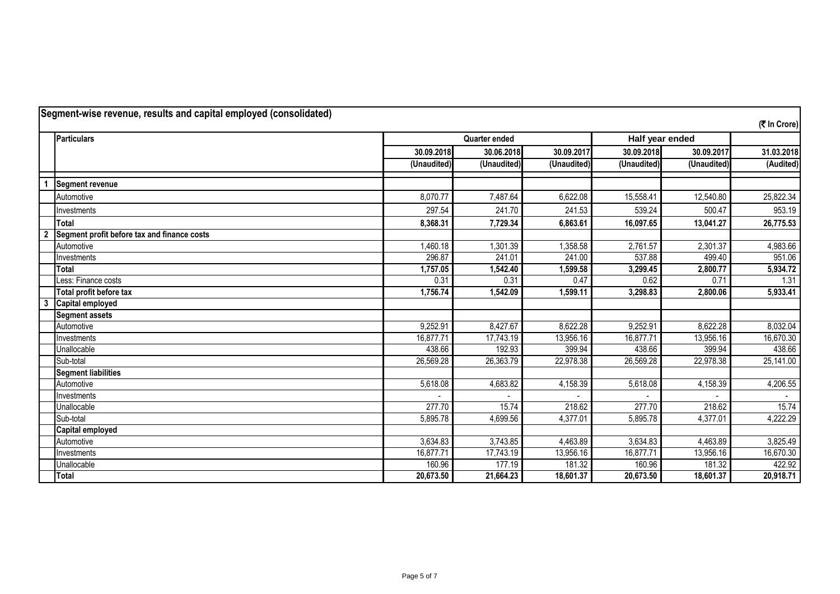| Segment-wise revenue, results and capital employed (consolidated) |                                             |             |                      |             |                 |             |              |  |
|-------------------------------------------------------------------|---------------------------------------------|-------------|----------------------|-------------|-----------------|-------------|--------------|--|
|                                                                   |                                             |             |                      |             |                 |             | (₹ In Crore) |  |
|                                                                   | <b>Particulars</b>                          |             | <b>Quarter ended</b> |             | Half year ended |             |              |  |
|                                                                   |                                             | 30.09.2018  | 30.06.2018           | 30.09.2017  | 30.09.2018      | 30.09.2017  | 31.03.2018   |  |
|                                                                   |                                             | (Unaudited) | (Unaudited)          | (Unaudited) | (Unaudited)     | (Unaudited) | (Audited)    |  |
|                                                                   |                                             |             |                      |             |                 |             |              |  |
|                                                                   | <b>Segment revenue</b>                      |             |                      |             |                 |             |              |  |
|                                                                   | Automotive                                  | 8,070.77    | 7,487.64             | 6,622.08    | 15,558.41       | 12,540.80   | 25,822.34    |  |
|                                                                   | Investments                                 | 297.54      | 241.70               | 241.53      | 539.24          | 500.47      | 953.19       |  |
|                                                                   | <b>Total</b>                                | 8,368.31    | 7,729.34             | 6,863.61    | 16,097.65       | 13,041.27   | 26,775.53    |  |
| $\overline{\mathbf{2}}$                                           | Segment profit before tax and finance costs |             |                      |             |                 |             |              |  |
|                                                                   | Automotive                                  | 1,460.18    | 1,301.39             | 1,358.58    | 2,761.57        | 2,301.37    | 4,983.66     |  |
|                                                                   | Investments                                 | 296.87      | 241.01               | 241.00      | 537.88          | 499.40      | 951.06       |  |
|                                                                   | Total                                       | 1,757.05    | 1,542.40             | 1,599.58    | 3,299.45        | 2,800.77    | 5,934.72     |  |
|                                                                   | Less: Finance costs                         | 0.31        | 0.31                 | 0.47        | 0.62            | 0.71        | 1.31         |  |
|                                                                   | Total profit before tax                     | 1,756.74    | 1,542.09             | 1,599.11    | 3,298.83        | 2,800.06    | 5,933.41     |  |
| $\overline{\mathbf{3}}$                                           | Capital employed                            |             |                      |             |                 |             |              |  |
|                                                                   | <b>Segment assets</b>                       |             |                      |             |                 |             |              |  |
|                                                                   | Automotive                                  | 9.252.91    | 8,427.67             | 8.622.28    | 9,252.91        | 8,622.28    | 8,032.04     |  |
|                                                                   | Investments                                 | 16,877.71   | 17,743.19            | 13,956.16   | 16,877.71       | 13,956.16   | 16,670.30    |  |
|                                                                   | Unallocable                                 | 438.66      | 192.93               | 399.94      | 438.66          | 399.94      | 438.66       |  |
|                                                                   | Sub-total                                   | 26,569.28   | 26,363.79            | 22,978.38   | 26,569.28       | 22,978.38   | 25,141.00    |  |
|                                                                   | <b>Segment liabilities</b>                  |             |                      |             |                 |             |              |  |
|                                                                   | Automotive                                  | 5,618.08    | 4,683.82             | 4,158.39    | 5,618.08        | 4,158.39    | 4,206.55     |  |
|                                                                   | Investments                                 |             |                      |             |                 |             |              |  |
|                                                                   | Unallocable                                 | 277.70      | 15.74                | 218.62      | 277.70          | 218.62      | 15.74        |  |
|                                                                   | Sub-total                                   | 5,895.78    | 4,699.56             | 4,377.01    | 5,895.78        | 4,377.01    | 4,222.29     |  |
|                                                                   | Capital employed                            |             |                      |             |                 |             |              |  |
|                                                                   | Automotive                                  | 3,634.83    | 3,743.85             | 4,463.89    | 3,634.83        | 4,463.89    | 3,825.49     |  |
|                                                                   | Investments                                 | 16,877.71   | 17,743.19            | 13,956.16   | 16,877.71       | 13,956.16   | 16,670.30    |  |
|                                                                   | Unallocable                                 | 160.96      | 177.19               | 181.32      | 160.96          | 181.32      | 422.92       |  |
|                                                                   | Total                                       | 20,673.50   | 21,664.23            | 18,601.37   | 20,673.50       | 18,601.37   | 20,918.71    |  |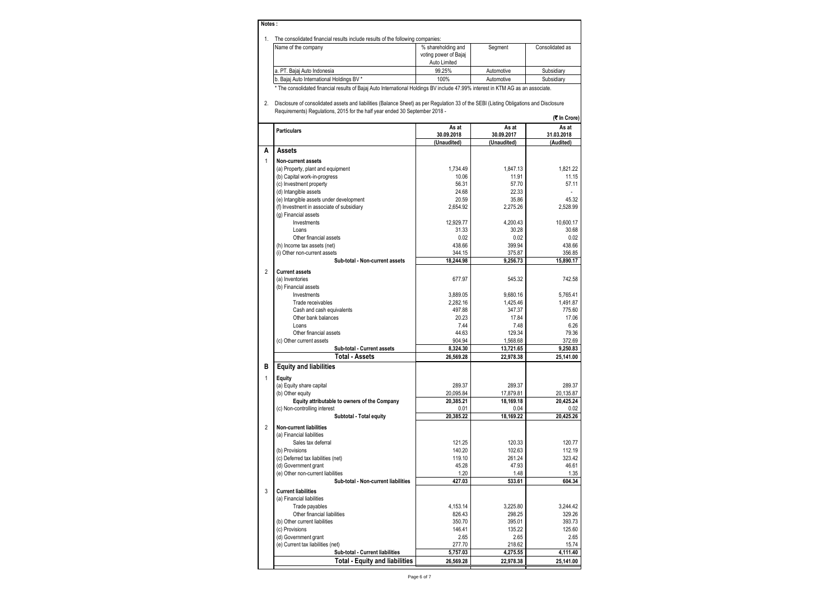| Notes:                                                                         |                       |            |                 |  |  |  |  |  |  |
|--------------------------------------------------------------------------------|-----------------------|------------|-----------------|--|--|--|--|--|--|
| The consolidated financial results include results of the following companies: |                       |            |                 |  |  |  |  |  |  |
| Name of the company                                                            | % shareholding and    | Segment    | Consolidated as |  |  |  |  |  |  |
|                                                                                | voting power of Bajaj |            |                 |  |  |  |  |  |  |
|                                                                                | Auto Limited          |            |                 |  |  |  |  |  |  |
| a. PT. Bajaj Auto Indonesia                                                    | 99.25%                | Automotive | Subsidiary      |  |  |  |  |  |  |

b. Bajaj Auto International Holdings BV \* 100% Automotive Subsidiary \* The consolidated financial results of Bajaj Auto International Holdings BV include 47.99% interest in KTM AG as an associate.

2. Disclosure of consolidated assets and liabilities (Balance Sheet) as per Regulation 33 of the SEBI (Listing Obligations and Disclosure Requirements) Regulations, 2015 for the half year ended 30 September 2018 -

**(**` **In Crore)**

|                | <b>Particulars</b>                                               | As at<br>30.09.2018 | As at<br>30.09.2017 | As at<br>31.03.2018 |
|----------------|------------------------------------------------------------------|---------------------|---------------------|---------------------|
|                |                                                                  | (Unaudited)         | (Unaudited)         | (Audited)           |
| А              | <b>Assets</b>                                                    |                     |                     |                     |
|                |                                                                  |                     |                     |                     |
| $\mathbf{1}$   | <b>Non-current assets</b>                                        |                     |                     |                     |
|                | (a) Property, plant and equipment                                | 1,734.49            | 1,847.13            | 1,821.22            |
|                | (b) Capital work-in-progress                                     | 10.06<br>56.31      | 11.91<br>57.70      | 11.15<br>57.11      |
|                | (c) Investment property                                          | 24.68               | 22.33               |                     |
|                | (d) Intangible assets<br>(e) Intangible assets under development | 20.59               | 35.86               | 45.32               |
|                | (f) Investment in associate of subsidiary                        | 2.654.92            | 2.275.26            | 2.528.99            |
|                | (q) Financial assets                                             |                     |                     |                     |
|                | Investments                                                      | 12,929.77           | 4,200.43            | 10,600.17           |
|                | Loans                                                            | 31.33               | 30.28               | 30.68               |
|                | Other financial assets                                           | 0.02                | 0.02                | 0.02                |
|                | (h) Income tax assets (net)                                      | 438.66              | 399.94              | 438.66              |
|                | (i) Other non-current assets                                     | 344.15              | 375.87              | 356.85              |
|                | Sub-total - Non-current assets                                   | 18,244.98           | 9,256.73            | 15,890.17           |
|                |                                                                  |                     |                     |                     |
| $\overline{2}$ | <b>Current assets</b>                                            |                     |                     |                     |
|                | (a) Inventories                                                  | 677.97              | 545.32              | 742.58              |
|                | (b) Financial assets                                             |                     |                     |                     |
|                | Investments                                                      | 3,889.05            | 9.680.16            | 5.765.41            |
|                | Trade receivables                                                | 2.282.16            | 1.425.46            | 1.491.87            |
|                | Cash and cash equivalents                                        | 497.88              | 347.37              | 775.60              |
|                | Other bank balances                                              | 20.23<br>7.44       | 17.84               | 17.06<br>6.26       |
|                | Loans<br>Other financial assets                                  | 44.63               | 7.48<br>129.34      | 79.36               |
|                | (c) Other current assets                                         | 904.94              | 1.568.68            | 372.69              |
|                | Sub-total - Current assets                                       | 8,324.30            | 13,721.65           | 9,250.83            |
|                | Total - Assets                                                   | 26,569.28           | 22,978.38           | 25,141.00           |
| В              | <b>Equity and liabilities</b>                                    |                     |                     |                     |
|                |                                                                  |                     |                     |                     |
| $\mathbf{1}$   | Equity                                                           |                     |                     |                     |
|                | (a) Equity share capital                                         | 289.37              | 289.37              | 289.37              |
|                | (b) Other equity                                                 | 20.095.84           | 17,879.81           | 20,135.87           |
|                | Equity attributable to owners of the Company                     | 20,385.21           | 18,169.18           | 20.425.24           |
|                | (c) Non-controlling interest                                     | 0.01<br>20,385.22   | 0.04<br>18,169.22   | 0.02<br>20,425.26   |
|                | Subtotal - Total equity                                          |                     |                     |                     |
| $\overline{2}$ | <b>Non-current liabilities</b>                                   |                     |                     |                     |
|                | (a) Financial liabilities                                        |                     |                     |                     |
|                | Sales tax deferral                                               | 121.25              | 120.33              | 120.77              |
|                | (b) Provisions                                                   | 140.20              | 102.63              | 112.19              |
|                | (c) Deferred tax liabilities (net)                               | 119.10              | 261.24              | 323.42              |
|                | (d) Government grant                                             | 45.28               | 47.93               | 46.61               |
|                | (e) Other non-current liabilities                                | 1.20                | 1.48                | 1.35                |
|                | Sub-total - Non-current liabilities                              | 427.03              | 533.61              | 604.34              |
| 3              | <b>Current liabilities</b>                                       |                     |                     |                     |
|                | (a) Financial liabilities                                        |                     |                     |                     |
|                | Trade payables                                                   | 4,153.14            | 3,225.80            | 3,244.42            |
|                | Other financial liabilities                                      | 826.43              | 298.25              | 329.26              |
|                | (b) Other current liabilities                                    | 350.70              | 395.01              | 393.73              |
|                | (c) Provisions                                                   | 146.41              | 135.22              | 125.60              |
|                | (d) Government grant                                             | 2.65                | 2.65                | 2.65                |
|                | (e) Current tax liabilities (net)                                | 277.70              | 218.62              | 15.74               |
|                | Sub-total - Current liabilities                                  | 5,757.03            | 4,275.55            | 4,111.40            |
|                | <b>Total - Equity and liabilities</b>                            | 26,569.28           | 22,978.38           | 25,141.00           |